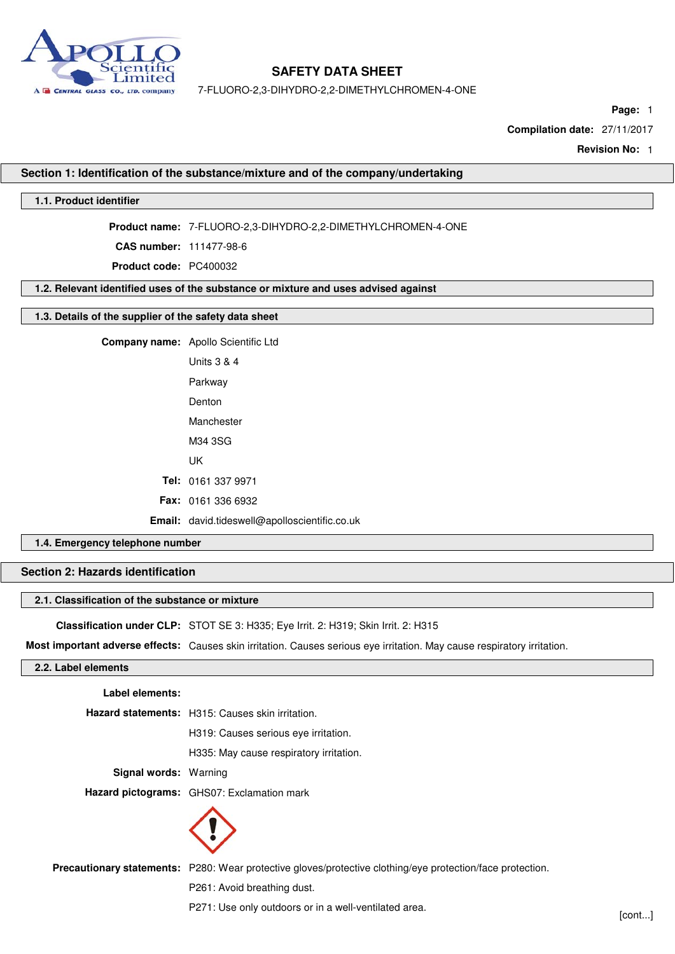

7-FLUORO-2,3-DIHYDRO-2,2-DIMETHYLCHROMEN-4-ONE

**Page:** 1

**Compilation date:** 27/11/2017

**Revision No:** 1

## **Section 1: Identification of the substance/mixture and of the company/undertaking**

## **1.1. Product identifier**

**Product name:** 7-FLUORO-2,3-DIHYDRO-2,2-DIMETHYLCHROMEN-4-ONE

**CAS number:** 111477-98-6

**Product code:** PC400032

#### **1.2. Relevant identified uses of the substance or mixture and uses advised against**

## **1.3. Details of the supplier of the safety data sheet**

| <b>Company name:</b> Apollo Scientific Ltd           |
|------------------------------------------------------|
| Units 3 & 4                                          |
| Parkway                                              |
| Denton                                               |
| Manchester                                           |
| M34 3SG                                              |
| UK                                                   |
| Tel: 0161 337 9971                                   |
| <b>Fax: 0161 336 6932</b>                            |
| <b>Email:</b> david.tideswell@apolloscientific.co.uk |

## **1.4. Emergency telephone number**

## **Section 2: Hazards identification**

#### **2.1. Classification of the substance or mixture**

**Classification under CLP:** STOT SE 3: H335; Eye Irrit. 2: H319; Skin Irrit. 2: H315

**Most important adverse effects:** Causes skin irritation. Causes serious eye irritation. May cause respiratory irritation.

#### **2.2. Label elements**

| Label elements:       |                                                                                                            |
|-----------------------|------------------------------------------------------------------------------------------------------------|
|                       | Hazard statements: H315: Causes skin irritation.                                                           |
|                       | H319: Causes serious eve irritation.                                                                       |
|                       | H335: May cause respiratory irritation.                                                                    |
| Signal words: Warning |                                                                                                            |
|                       | <b>Hazard pictograms:</b> GHS07: Exclamation mark                                                          |
|                       |                                                                                                            |
|                       | Precautionary statements: P280: Wear protective gloves/protective clothing/eye protection/face protection. |

P261: Avoid breathing dust.

P271: Use only outdoors or in a well-ventilated area.<br>[cont...]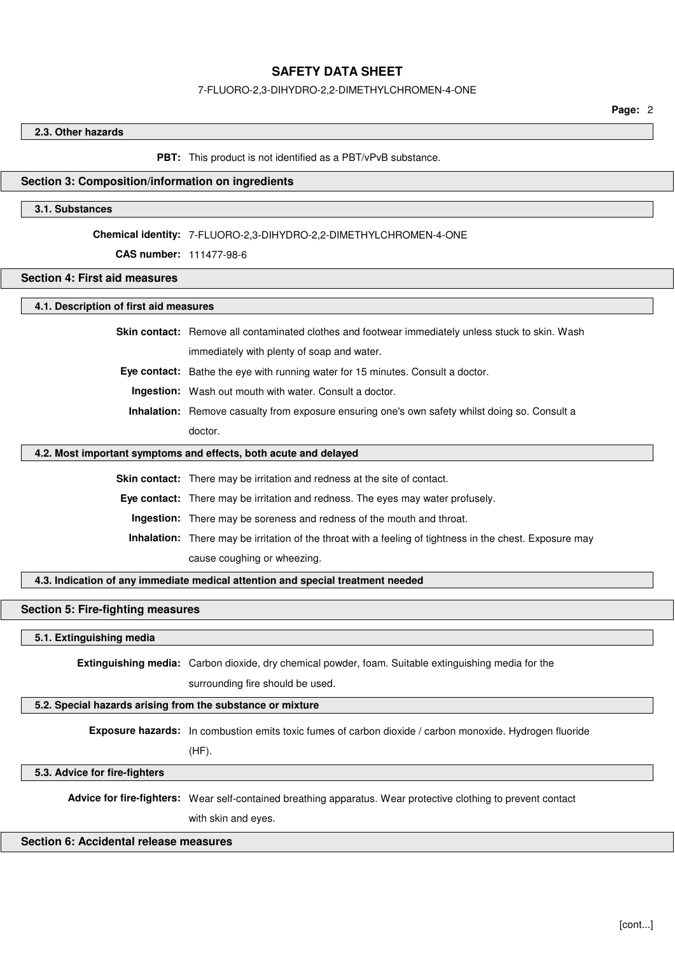#### 7-FLUORO-2,3-DIHYDRO-2,2-DIMETHYLCHROMEN-4-ONE

**Page:** 2

#### **2.3. Other hazards**

#### **PBT:** This product is not identified as a PBT/vPvB substance.

#### **Section 3: Composition/information on ingredients**

#### **3.1. Substances**

#### **Chemical identity:** 7-FLUORO-2,3-DIHYDRO-2,2-DIMETHYLCHROMEN-4-ONE

## **CAS number:** 111477-98-6

## **Section 4: First aid measures**

## **4.1. Description of first aid measures**

**Skin contact:** Remove all contaminated clothes and footwear immediately unless stuck to skin. Wash

immediately with plenty of soap and water.

**Eye contact:** Bathe the eye with running water for 15 minutes. Consult a doctor.

**Ingestion:** Wash out mouth with water. Consult a doctor.

**Inhalation:** Remove casualty from exposure ensuring one's own safety whilst doing so. Consult a doctor.

#### **4.2. Most important symptoms and effects, both acute and delayed**

**Skin contact:** There may be irritation and redness at the site of contact.

**Eye contact:** There may be irritation and redness. The eyes may water profusely.

**Ingestion:** There may be soreness and redness of the mouth and throat.

**Inhalation:** There may be irritation of the throat with a feeling of tightness in the chest. Exposure may cause coughing or wheezing.

**4.3. Indication of any immediate medical attention and special treatment needed**

#### **Section 5: Fire-fighting measures**

## **5.1. Extinguishing media**

**Extinguishing media:** Carbon dioxide, dry chemical powder, foam. Suitable extinguishing media for the

surrounding fire should be used.

## **5.2. Special hazards arising from the substance or mixture**

**Exposure hazards:** In combustion emits toxic fumes of carbon dioxide / carbon monoxide. Hydrogen fluoride

(HF).

**5.3. Advice for fire-fighters**

**Advice for fire-fighters:** Wear self-contained breathing apparatus. Wear protective clothing to prevent contact

with skin and eyes.

#### **Section 6: Accidental release measures**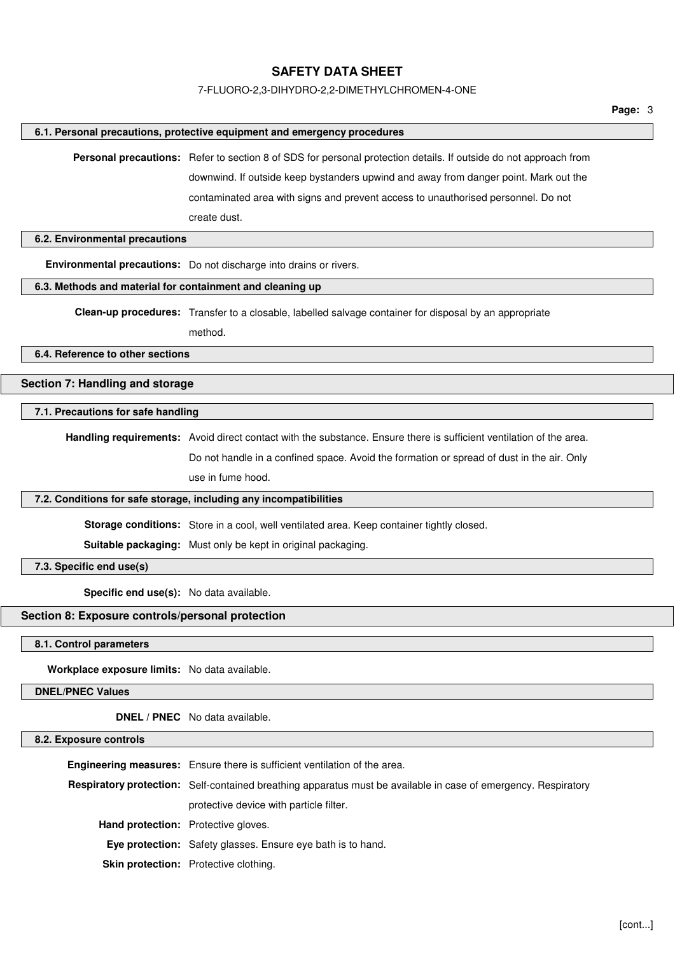#### 7-FLUORO-2,3-DIHYDRO-2,2-DIMETHYLCHROMEN-4-ONE

**Personal precautions:** Refer to section 8 of SDS for personal protection details. If outside do not approach from

downwind. If outside keep bystanders upwind and away from danger point. Mark out the contaminated area with signs and prevent access to unauthorised personnel. Do not

**6.1. Personal precautions, protective equipment and emergency procedures**

**Page:** 3

# create dust. **6.2. Environmental precautions Environmental precautions:** Do not discharge into drains or rivers. **6.3. Methods and material for containment and cleaning up Clean-up procedures:** Transfer to a closable, labelled salvage container for disposal by an appropriate method. **6.4. Reference to other sections Section 7: Handling and storage 7.1. Precautions for safe handling Handling requirements:** Avoid direct contact with the substance. Ensure there is sufficient ventilation of the area. Do not handle in a confined space. Avoid the formation or spread of dust in the air. Only use in fume hood. **7.2. Conditions for safe storage, including any incompatibilities Storage conditions:** Store in a cool, well ventilated area. Keep container tightly closed. **Suitable packaging:** Must only be kept in original packaging. **7.3. Specific end use(s) Specific end use(s):** No data available. **Section 8: Exposure controls/personal protection 8.1. Control parameters Workplace exposure limits:** No data available.

**DNEL/PNEC Values**

**DNEL / PNEC** No data available.

## **8.2. Exposure controls**

|                                            | <b>Engineering measures:</b> Ensure there is sufficient ventilation of the area.                                      |
|--------------------------------------------|-----------------------------------------------------------------------------------------------------------------------|
|                                            | <b>Respiratory protection:</b> Self-contained breathing apparatus must be available in case of emergency. Respiratory |
|                                            | protective device with particle filter.                                                                               |
| <b>Hand protection:</b> Protective gloves. |                                                                                                                       |
|                                            | <b>Eye protection:</b> Safety glasses. Ensure eye bath is to hand.                                                    |
|                                            | <b>Skin protection:</b> Protective clothing.                                                                          |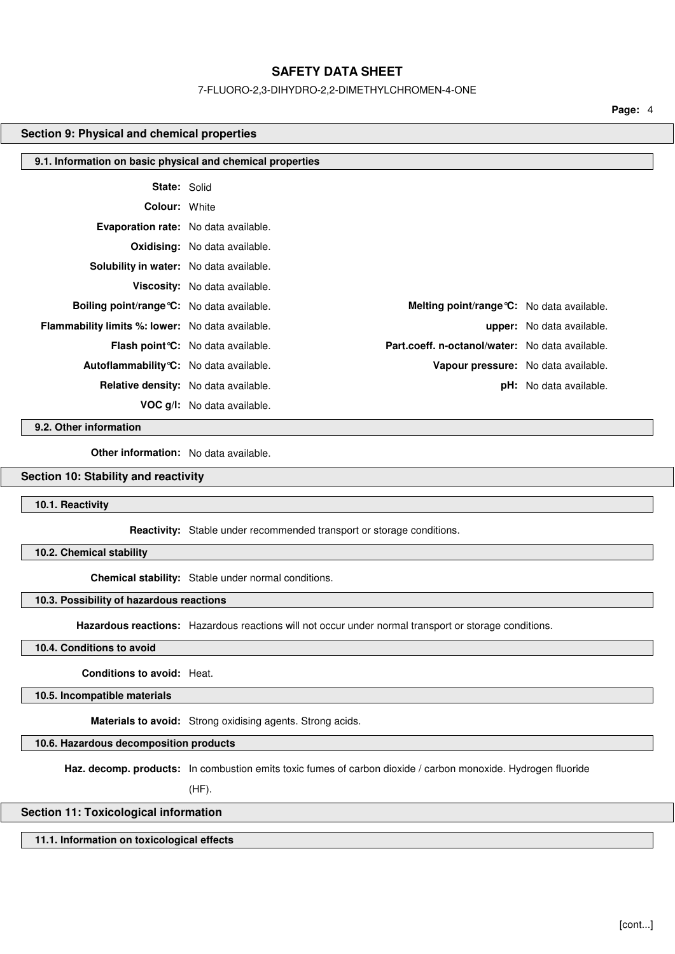#### 7-FLUORO-2,3-DIHYDRO-2,2-DIMETHYLCHROMEN-4-ONE

**Page:** 4

#### **Section 9: Physical and chemical properties**

| 9.1. Information on basic physical and chemical properties |                                           |                                                   |                               |
|------------------------------------------------------------|-------------------------------------------|---------------------------------------------------|-------------------------------|
| <b>State: Solid</b>                                        |                                           |                                                   |                               |
| <b>Colour: White</b>                                       |                                           |                                                   |                               |
| <b>Evaporation rate:</b> No data available.                |                                           |                                                   |                               |
|                                                            | <b>Oxidising:</b> No data available.      |                                                   |                               |
| <b>Solubility in water:</b> No data available.             |                                           |                                                   |                               |
|                                                            | Viscosity: No data available.             |                                                   |                               |
| <b>Boiling point/range °C:</b> No data available.          |                                           | <b>Melting point/range °C:</b> No data available. |                               |
| <b>Flammability limits %: lower:</b> No data available.    |                                           |                                                   | upper: No data available.     |
|                                                            | Flash point <i>C</i> : No data available. | Part.coeff. n-octanol/water: No data available.   |                               |
| Autoflammability °C: No data available.                    |                                           | Vapour pressure: No data available.               |                               |
|                                                            | Relative density: No data available.      |                                                   | <b>pH:</b> No data available. |
|                                                            | <b>VOC g/l:</b> No data available.        |                                                   |                               |

**9.2. Other information**

**Other information:** No data available.

# **Section 10: Stability and reactivity**

**10.1. Reactivity**

**Reactivity:** Stable under recommended transport or storage conditions.

**10.2. Chemical stability**

**Chemical stability:** Stable under normal conditions.

## **10.3. Possibility of hazardous reactions**

**Hazardous reactions:** Hazardous reactions will not occur under normal transport or storage conditions.

## **10.4. Conditions to avoid**

**Conditions to avoid:** Heat.

**10.5. Incompatible materials**

**Materials to avoid:** Strong oxidising agents. Strong acids.

**10.6. Hazardous decomposition products**

**Haz. decomp. products:** In combustion emits toxic fumes of carbon dioxide / carbon monoxide. Hydrogen fluoride

(HF).

# **Section 11: Toxicological information**

**11.1. Information on toxicological effects**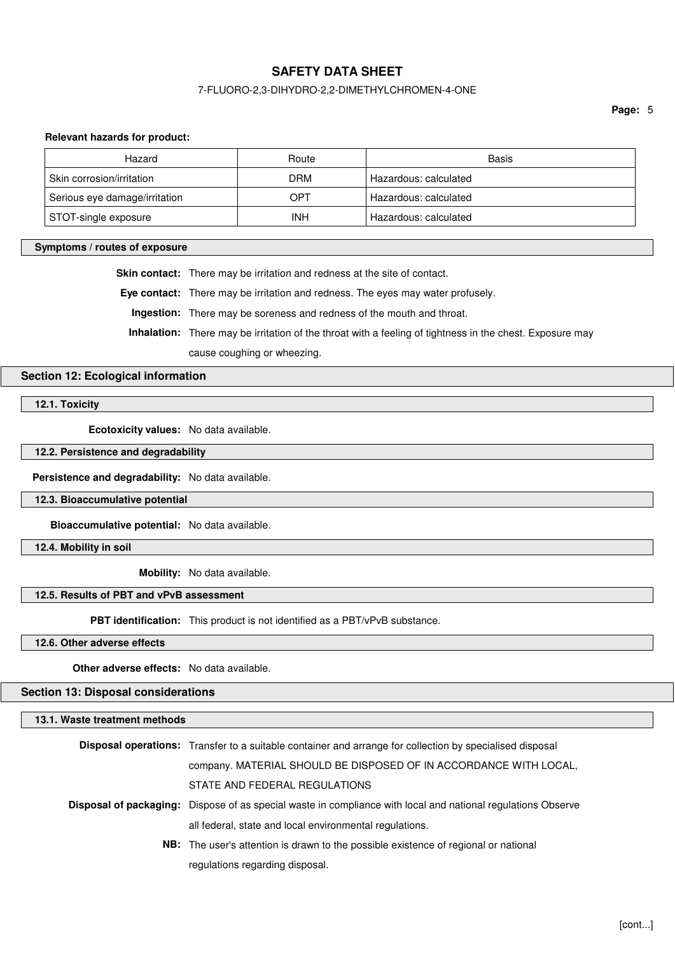## 7-FLUORO-2,3-DIHYDRO-2,2-DIMETHYLCHROMEN-4-ONE

**Page:** 5

#### **Relevant hazards for product:**

| Hazard                        | Route      | Basis                 |
|-------------------------------|------------|-----------------------|
| Skin corrosion/irritation     | <b>DRM</b> | Hazardous: calculated |
| Serious eye damage/irritation | OPT        | Hazardous: calculated |
| STOT-single exposure          | INH        | Hazardous: calculated |

#### **Symptoms / routes of exposure**

**Skin contact:** There may be irritation and redness at the site of contact.

**Eye contact:** There may be irritation and redness. The eyes may water profusely.

**Ingestion:** There may be soreness and redness of the mouth and throat.

**Inhalation:** There may be irritation of the throat with a feeling of tightness in the chest. Exposure may

cause coughing or wheezing.

## **Section 12: Ecological information**

**12.1. Toxicity**

**Ecotoxicity values:** No data available.

**12.2. Persistence and degradability**

**Persistence and degradability:** No data available.

**12.3. Bioaccumulative potential**

**Bioaccumulative potential:** No data available.

**12.4. Mobility in soil**

**Mobility:** No data available.

## **12.5. Results of PBT and vPvB assessment**

**PBT identification:** This product is not identified as a PBT/vPvB substance.

**12.6. Other adverse effects**

**Other adverse effects:** No data available.

**Section 13: Disposal considerations**

**13.1. Waste treatment methods**

| <b>Disposal operations:</b> Transfer to a suitable container and arrange for collection by specialised disposal     |
|---------------------------------------------------------------------------------------------------------------------|
| company. MATERIAL SHOULD BE DISPOSED OF IN ACCORDANCE WITH LOCAL,                                                   |
| STATE AND FEDERAL REGULATIONS                                                                                       |
| <b>Disposal of packaging:</b> Dispose of as special waste in compliance with local and national regulations Observe |
| all federal, state and local environmental regulations.                                                             |
| <b>NB:</b> The user's attention is drawn to the possible existence of regional or national                          |
| regulations regarding disposal.                                                                                     |